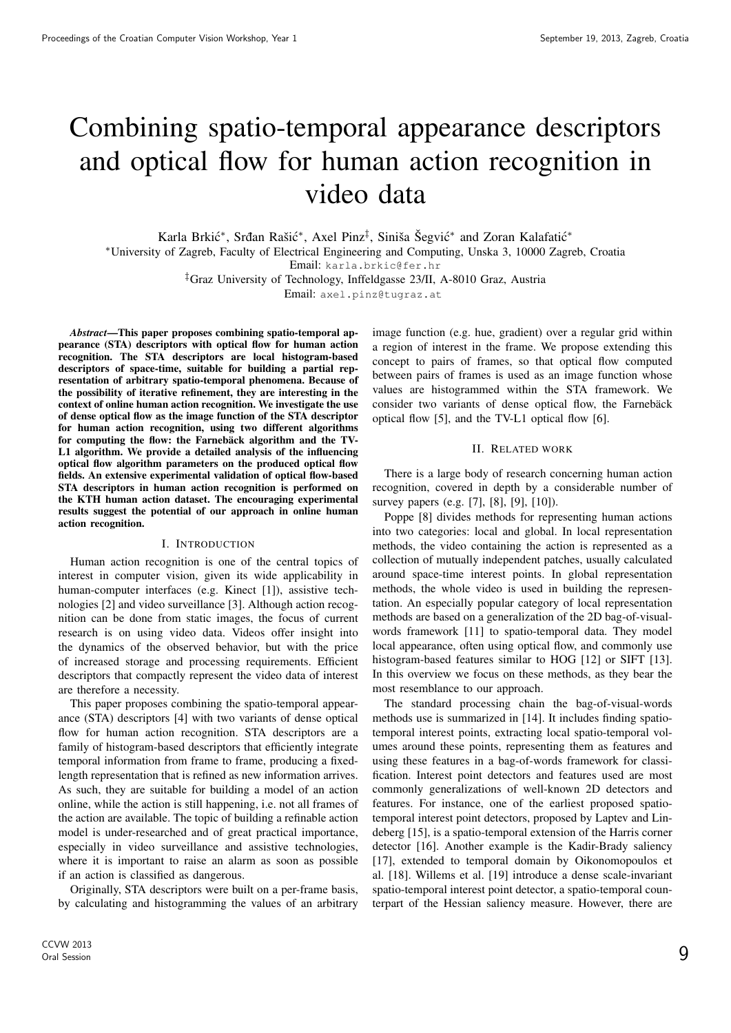# Combining spatio-temporal appearance descriptors and optical flow for human action recognition in video data

Karla Brkić\*, Srđan Rašić\*, Axel Pinz<sup>‡</sup>, Siniša Šegvić\* and Zoran Kalafatić\* <sup>∗</sup>University of Zagreb, Faculty of Electrical Engineering and Computing, Unska 3, 10000 Zagreb, Croatia Email: karla.brkic@fer.hr

‡Graz University of Technology, Inffeldgasse 23/II, A-8010 Graz, Austria

Email: axel.pinz@tugraz.at

*Abstract*—This paper proposes combining spatio-temporal appearance (STA) descriptors with optical flow for human action recognition. The STA descriptors are local histogram-based descriptors of space-time, suitable for building a partial representation of arbitrary spatio-temporal phenomena. Because of the possibility of iterative refinement, they are interesting in the context of online human action recognition. We investigate the use of dense optical flow as the image function of the STA descriptor for human action recognition, using two different algorithms for computing the flow: the Farnebäck algorithm and the TV-L1 algorithm. We provide a detailed analysis of the influencing optical flow algorithm parameters on the produced optical flow fields. An extensive experimental validation of optical flow-based STA descriptors in human action recognition is performed on the KTH human action dataset. The encouraging experimental results suggest the potential of our approach in online human action recognition.

## I. INTRODUCTION

Human action recognition is one of the central topics of interest in computer vision, given its wide applicability in human-computer interfaces (e.g. Kinect [1]), assistive technologies [2] and video surveillance [3]. Although action recognition can be done from static images, the focus of current research is on using video data. Videos offer insight into the dynamics of the observed behavior, but with the price of increased storage and processing requirements. Efficient descriptors that compactly represent the video data of interest are therefore a necessity.

This paper proposes combining the spatio-temporal appearance (STA) descriptors [4] with two variants of dense optical flow for human action recognition. STA descriptors are a family of histogram-based descriptors that efficiently integrate temporal information from frame to frame, producing a fixedlength representation that is refined as new information arrives. As such, they are suitable for building a model of an action online, while the action is still happening, i.e. not all frames of the action are available. The topic of building a refinable action model is under-researched and of great practical importance, especially in video surveillance and assistive technologies, where it is important to raise an alarm as soon as possible if an action is classified as dangerous.

Originally, STA descriptors were built on a per-frame basis, by calculating and histogramming the values of an arbitrary image function (e.g. hue, gradient) over a regular grid within a region of interest in the frame. We propose extending this concept to pairs of frames, so that optical flow computed between pairs of frames is used as an image function whose values are histogrammed within the STA framework. We consider two variants of dense optical flow, the Farnebäck optical flow [5], and the TV-L1 optical flow [6].

#### II. RELATED WORK

There is a large body of research concerning human action recognition, covered in depth by a considerable number of survey papers (e.g. [7], [8], [9], [10]).

Poppe [8] divides methods for representing human actions into two categories: local and global. In local representation methods, the video containing the action is represented as a collection of mutually independent patches, usually calculated around space-time interest points. In global representation methods, the whole video is used in building the representation. An especially popular category of local representation methods are based on a generalization of the 2D bag-of-visualwords framework [11] to spatio-temporal data. They model local appearance, often using optical flow, and commonly use histogram-based features similar to HOG [12] or SIFT [13]. In this overview we focus on these methods, as they bear the most resemblance to our approach.

The standard processing chain the bag-of-visual-words methods use is summarized in [14]. It includes finding spatiotemporal interest points, extracting local spatio-temporal volumes around these points, representing them as features and using these features in a bag-of-words framework for classification. Interest point detectors and features used are most commonly generalizations of well-known 2D detectors and features. For instance, one of the earliest proposed spatiotemporal interest point detectors, proposed by Laptev and Lindeberg [15], is a spatio-temporal extension of the Harris corner detector [16]. Another example is the Kadir-Brady saliency [17], extended to temporal domain by Oikonomopoulos et al. [18]. Willems et al. [19] introduce a dense scale-invariant spatio-temporal interest point detector, a spatio-temporal counterpart of the Hessian saliency measure. However, there are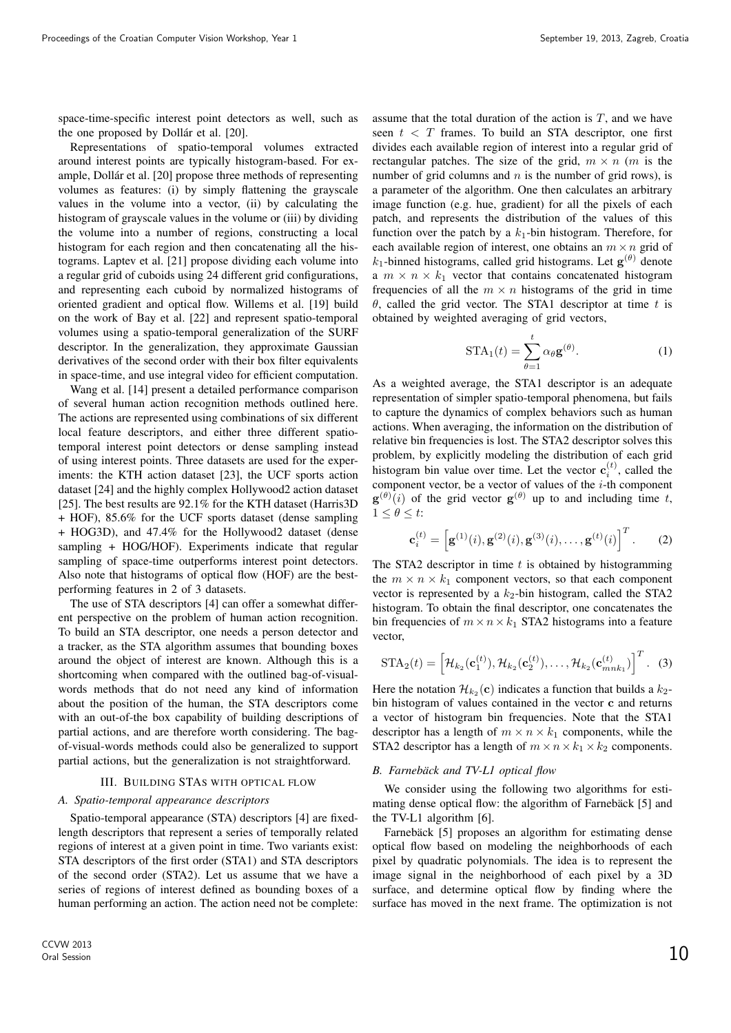Representations of spatio-temporal volumes extracted around interest points are typically histogram-based. For example, Dollár et al. [20] propose three methods of representing volumes as features: (i) by simply flattening the grayscale values in the volume into a vector, (ii) by calculating the histogram of grayscale values in the volume or (iii) by dividing the volume into a number of regions, constructing a local histogram for each region and then concatenating all the histograms. Laptev et al. [21] propose dividing each volume into a regular grid of cuboids using 24 different grid configurations, and representing each cuboid by normalized histograms of oriented gradient and optical flow. Willems et al. [19] build on the work of Bay et al. [22] and represent spatio-temporal volumes using a spatio-temporal generalization of the SURF descriptor. In the generalization, they approximate Gaussian derivatives of the second order with their box filter equivalents in space-time, and use integral video for efficient computation.

Wang et al. [14] present a detailed performance comparison of several human action recognition methods outlined here. The actions are represented using combinations of six different local feature descriptors, and either three different spatiotemporal interest point detectors or dense sampling instead of using interest points. Three datasets are used for the experiments: the KTH action dataset [23], the UCF sports action dataset [24] and the highly complex Hollywood2 action dataset [25]. The best results are 92.1% for the KTH dataset (Harris3D + HOF), 85.6% for the UCF sports dataset (dense sampling + HOG3D), and 47.4% for the Hollywood2 dataset (dense sampling + HOG/HOF). Experiments indicate that regular sampling of space-time outperforms interest point detectors. Also note that histograms of optical flow (HOF) are the bestperforming features in 2 of 3 datasets.

The use of STA descriptors [4] can offer a somewhat different perspective on the problem of human action recognition. To build an STA descriptor, one needs a person detector and a tracker, as the STA algorithm assumes that bounding boxes around the object of interest are known. Although this is a shortcoming when compared with the outlined bag-of-visualwords methods that do not need any kind of information about the position of the human, the STA descriptors come with an out-of-the box capability of building descriptions of partial actions, and are therefore worth considering. The bagof-visual-words methods could also be generalized to support partial actions, but the generalization is not straightforward.

## III. BUILDING STAS WITH OPTICAL FLOW

#### *A. Spatio-temporal appearance descriptors*

Spatio-temporal appearance (STA) descriptors [4] are fixedlength descriptors that represent a series of temporally related regions of interest at a given point in time. Two variants exist: STA descriptors of the first order (STA1) and STA descriptors of the second order (STA2). Let us assume that we have a series of regions of interest defined as bounding boxes of a human performing an action. The action need not be complete:

assume that the total duration of the action is  $T$ , and we have seen  $t < T$  frames. To build an STA descriptor, one first divides each available region of interest into a regular grid of rectangular patches. The size of the grid,  $m \times n$  (m is the number of grid columns and  $n$  is the number of grid rows), is a parameter of the algorithm. One then calculates an arbitrary image function (e.g. hue, gradient) for all the pixels of each patch, and represents the distribution of the values of this function over the patch by a  $k_1$ -bin histogram. Therefore, for each available region of interest, one obtains an  $m \times n$  grid of  $k_1$ -binned histograms, called grid histograms. Let  $\mathbf{g}^{(\theta)}$  denote a  $m \times n \times k_1$  vector that contains concatenated histogram frequencies of all the  $m \times n$  histograms of the grid in time  $\theta$ , called the grid vector. The STA1 descriptor at time t is obtained by weighted averaging of grid vectors,

$$
\text{STA}_1(t) = \sum_{\theta=1}^t \alpha_{\theta} \mathbf{g}^{(\theta)}.
$$
 (1)

As a weighted average, the STA1 descriptor is an adequate representation of simpler spatio-temporal phenomena, but fails to capture the dynamics of complex behaviors such as human actions. When averaging, the information on the distribution of relative bin frequencies is lost. The STA2 descriptor solves this problem, by explicitly modeling the distribution of each grid histogram bin value over time. Let the vector  $\mathbf{c}_i^{(t)}$ , called the component vector, be a vector of values of the  $i$ -th component  $\mathbf{g}^{(\theta)}(i)$  of the grid vector  $\mathbf{g}^{(\theta)}$  up to and including time t,  $1 \leq \theta \leq t$ :

$$
\mathbf{c}_{i}^{(t)} = \left[\mathbf{g}^{(1)}(i), \mathbf{g}^{(2)}(i), \mathbf{g}^{(3)}(i), \dots, \mathbf{g}^{(t)}(i)\right]^{T}.
$$
 (2)

The STA2 descriptor in time  $t$  is obtained by histogramming the  $m \times n \times k_1$  component vectors, so that each component vector is represented by a  $k_2$ -bin histogram, called the STA2 histogram. To obtain the final descriptor, one concatenates the bin frequencies of  $m \times n \times k_1$  STA2 histograms into a feature vector,

$$
\text{STA}_2(t) = \left[\mathcal{H}_{k_2}(\mathbf{c}_1^{(t)}), \mathcal{H}_{k_2}(\mathbf{c}_2^{(t)}), \dots, \mathcal{H}_{k_2}(\mathbf{c}_{mnk_1}^{(t)})\right]^T.
$$
 (3)

Here the notation  $\mathcal{H}_{k_2}(\mathbf{c})$  indicates a function that builds a  $k_2$ bin histogram of values contained in the vector c and returns a vector of histogram bin frequencies. Note that the STA1 descriptor has a length of  $m \times n \times k_1$  components, while the STA2 descriptor has a length of  $m \times n \times k_1 \times k_2$  components.

# *B. Farnebäck and TV-L1 optical flow*

We consider using the following two algorithms for estimating dense optical flow: the algorithm of Farnebäck [5] and the TV-L1 algorithm [6].

Farnebäck [5] proposes an algorithm for estimating dense optical flow based on modeling the neighborhoods of each pixel by quadratic polynomials. The idea is to represent the image signal in the neighborhood of each pixel by a 3D surface, and determine optical flow by finding where the surface has moved in the next frame. The optimization is not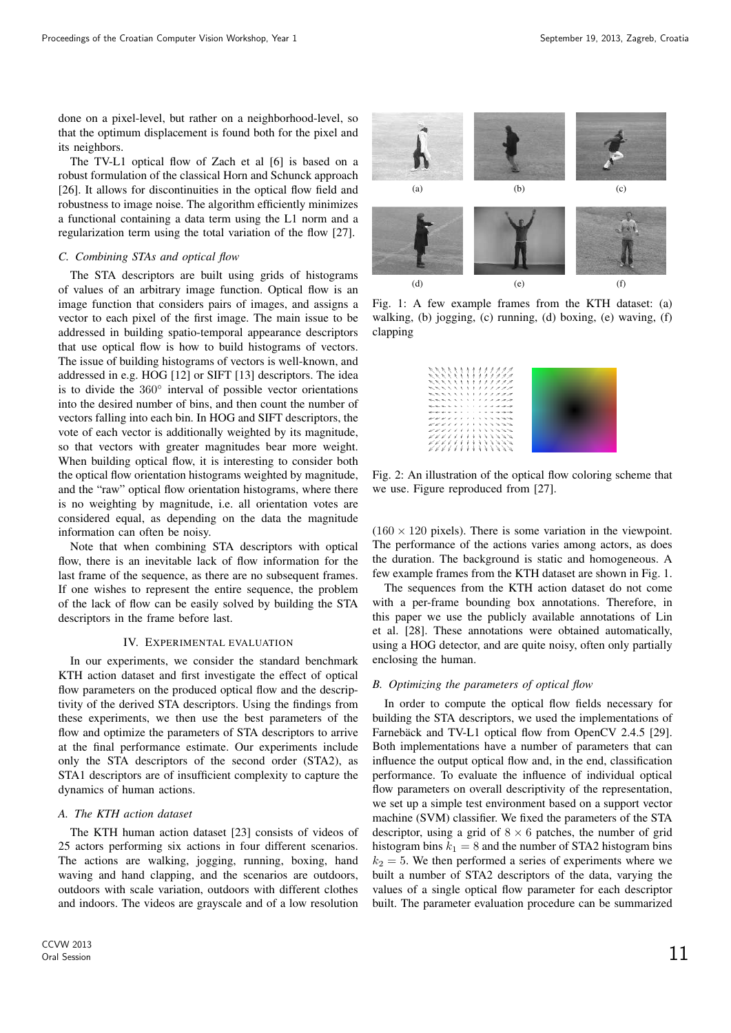done on a pixel-level, but rather on a neighborhood-level, so that the optimum displacement is found both for the pixel and its neighbors.

The TV-L1 optical flow of Zach et al [6] is based on a robust formulation of the classical Horn and Schunck approach [26]. It allows for discontinuities in the optical flow field and robustness to image noise. The algorithm efficiently minimizes a functional containing a data term using the L1 norm and a regularization term using the total variation of the flow [27].

#### *C. Combining STAs and optical flow*

The STA descriptors are built using grids of histograms of values of an arbitrary image function. Optical flow is an image function that considers pairs of images, and assigns a vector to each pixel of the first image. The main issue to be addressed in building spatio-temporal appearance descriptors that use optical flow is how to build histograms of vectors. The issue of building histograms of vectors is well-known, and addressed in e.g. HOG [12] or SIFT [13] descriptors. The idea is to divide the 360◦ interval of possible vector orientations into the desired number of bins, and then count the number of vectors falling into each bin. In HOG and SIFT descriptors, the vote of each vector is additionally weighted by its magnitude, so that vectors with greater magnitudes bear more weight. When building optical flow, it is interesting to consider both the optical flow orientation histograms weighted by magnitude, and the "raw" optical flow orientation histograms, where there is no weighting by magnitude, i.e. all orientation votes are considered equal, as depending on the data the magnitude information can often be noisy.

Note that when combining STA descriptors with optical flow, there is an inevitable lack of flow information for the last frame of the sequence, as there are no subsequent frames. If one wishes to represent the entire sequence, the problem of the lack of flow can be easily solved by building the STA descriptors in the frame before last.

## IV. EXPERIMENTAL EVALUATION

In our experiments, we consider the standard benchmark KTH action dataset and first investigate the effect of optical flow parameters on the produced optical flow and the descriptivity of the derived STA descriptors. Using the findings from these experiments, we then use the best parameters of the flow and optimize the parameters of STA descriptors to arrive at the final performance estimate. Our experiments include only the STA descriptors of the second order (STA2), as STA1 descriptors are of insufficient complexity to capture the dynamics of human actions.

## *A. The KTH action dataset*

The KTH human action dataset [23] consists of videos of 25 actors performing six actions in four different scenarios. The actions are walking, jogging, running, boxing, hand waving and hand clapping, and the scenarios are outdoors, outdoors with scale variation, outdoors with different clothes and indoors. The videos are grayscale and of a low resolution



Fig. 1: A few example frames from the KTH dataset: (a) walking, (b) jogging, (c) running, (d) boxing, (e) waving, (f) clapping

| ******* <i>*******</i><br><b>ベベベ ハ ヽ ヽ + <i>+ + + + + + + +</i></b><br>ベベベベ ヘリココ ノメメンシオ<br>**************<br>.<br>.<br>energian and an announcement of the participation of the participation<br>にに アメメノコココ メメガズ<br>イインメノメ トトリフクブプ<br>66666666666666 |  |  |  | ベベベベドトト トナメメメダ<br><b>ベベベ ハ ヽ ヽ ヽ ノ ノ ノ ノ ノブ</b> |  |  |  |  |
|------------------------------------------------------------------------------------------------------------------------------------------------------------------------------------------------------------------------------------------------------|--|--|--|-------------------------------------------------|--|--|--|--|
| ビビ ビ ビ ビ も も り タ ク ク グ グ                                                                                                                                                                                                                             |  |  |  |                                                 |  |  |  |  |

Fig. 2: An illustration of the optical flow coloring scheme that we use. Figure reproduced from [27].

 $(160 \times 120)$  pixels). There is some variation in the viewpoint. The performance of the actions varies among actors, as does the duration. The background is static and homogeneous. A few example frames from the KTH dataset are shown in Fig. 1.

The sequences from the KTH action dataset do not come with a per-frame bounding box annotations. Therefore, in this paper we use the publicly available annotations of Lin et al. [28]. These annotations were obtained automatically, using a HOG detector, and are quite noisy, often only partially enclosing the human.

## *B. Optimizing the parameters of optical flow*

In order to compute the optical flow fields necessary for building the STA descriptors, we used the implementations of Farnebäck and TV-L1 optical flow from OpenCV 2.4.5 [29]. Both implementations have a number of parameters that can influence the output optical flow and, in the end, classification performance. To evaluate the influence of individual optical flow parameters on overall descriptivity of the representation, we set up a simple test environment based on a support vector machine (SVM) classifier. We fixed the parameters of the STA descriptor, using a grid of  $8 \times 6$  patches, the number of grid histogram bins  $k_1 = 8$  and the number of STA2 histogram bins  $k_2 = 5$ . We then performed a series of experiments where we built a number of STA2 descriptors of the data, varying the values of a single optical flow parameter for each descriptor built. The parameter evaluation procedure can be summarized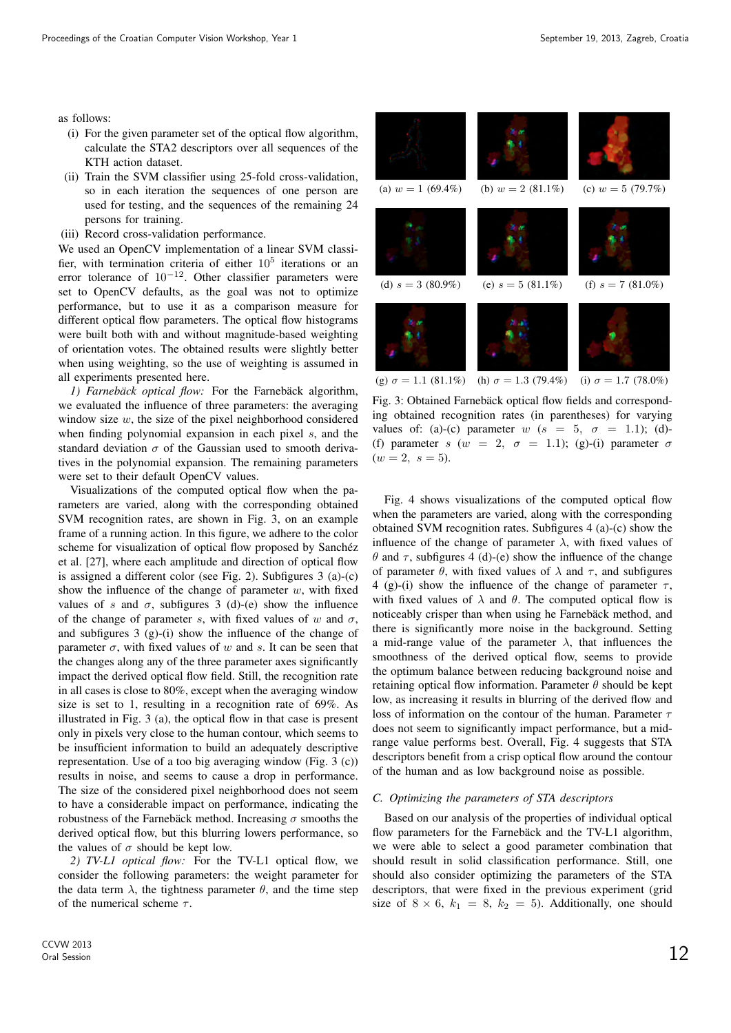as follows:

- (i) For the given parameter set of the optical flow algorithm, calculate the STA2 descriptors over all sequences of the KTH action dataset.
- (ii) Train the SVM classifier using 25-fold cross-validation, so in each iteration the sequences of one person are used for testing, and the sequences of the remaining 24 persons for training.
- (iii) Record cross-validation performance.

We used an OpenCV implementation of a linear SVM classifier, with termination criteria of either  $10^5$  iterations or an error tolerance of  $10^{-12}$ . Other classifier parameters were set to OpenCV defaults, as the goal was not to optimize performance, but to use it as a comparison measure for different optical flow parameters. The optical flow histograms were built both with and without magnitude-based weighting of orientation votes. The obtained results were slightly better when using weighting, so the use of weighting is assumed in all experiments presented here.

*1) Farnebäck optical flow:* For the Farnebäck algorithm, we evaluated the influence of three parameters: the averaging window size  $w$ , the size of the pixel neighborhood considered when finding polynomial expansion in each pixel s, and the standard deviation  $\sigma$  of the Gaussian used to smooth derivatives in the polynomial expansion. The remaining parameters were set to their default OpenCV values.

Visualizations of the computed optical flow when the parameters are varied, along with the corresponding obtained SVM recognition rates, are shown in Fig. 3, on an example frame of a running action. In this figure, we adhere to the color scheme for visualization of optical flow proposed by Sanchéz et al. [27], where each amplitude and direction of optical flow is assigned a different color (see Fig. 2). Subfigures 3 (a)-(c) show the influence of the change of parameter  $w$ , with fixed values of s and  $\sigma$ , subfigures 3 (d)-(e) show the influence of the change of parameter s, with fixed values of w and  $\sigma$ , and subfigures 3 (g)-(i) show the influence of the change of parameter  $\sigma$ , with fixed values of w and s. It can be seen that the changes along any of the three parameter axes significantly impact the derived optical flow field. Still, the recognition rate in all cases is close to 80%, except when the averaging window size is set to 1, resulting in a recognition rate of 69%. As illustrated in Fig. 3 (a), the optical flow in that case is present only in pixels very close to the human contour, which seems to be insufficient information to build an adequately descriptive representation. Use of a too big averaging window (Fig. 3 (c)) results in noise, and seems to cause a drop in performance. The size of the considered pixel neighborhood does not seem to have a considerable impact on performance, indicating the robustness of the Farnebäck method. Increasing  $\sigma$  smooths the derived optical flow, but this blurring lowers performance, so the values of  $\sigma$  should be kept low.

*2) TV-L1 optical flow:* For the TV-L1 optical flow, we consider the following parameters: the weight parameter for the data term  $\lambda$ , the tightness parameter  $\theta$ , and the time step of the numerical scheme  $\tau$ .



Fig. 3: Obtained Farnebäck optical flow fields and corresponding obtained recognition rates (in parentheses) for varying values of: (a)-(c) parameter w ( $s = 5$ ,  $\sigma = 1.1$ ); (d)-(f) parameter s (w = 2,  $\sigma$  = 1.1); (g)-(i) parameter  $\sigma$  $(w = 2, s = 5).$ 

Fig. 4 shows visualizations of the computed optical flow when the parameters are varied, along with the corresponding obtained SVM recognition rates. Subfigures 4 (a)-(c) show the influence of the change of parameter  $\lambda$ , with fixed values of  $θ$  and  $τ$ , subfigures 4 (d)-(e) show the influence of the change of parameter  $\theta$ , with fixed values of  $\lambda$  and  $\tau$ , and subfigures 4 (g)-(i) show the influence of the change of parameter  $\tau$ , with fixed values of  $\lambda$  and  $\theta$ . The computed optical flow is noticeably crisper than when using he Farnebäck method, and there is significantly more noise in the background. Setting a mid-range value of the parameter  $\lambda$ , that influences the smoothness of the derived optical flow, seems to provide the optimum balance between reducing background noise and retaining optical flow information. Parameter  $\theta$  should be kept low, as increasing it results in blurring of the derived flow and loss of information on the contour of the human. Parameter  $\tau$ does not seem to significantly impact performance, but a midrange value performs best. Overall, Fig. 4 suggests that STA descriptors benefit from a crisp optical flow around the contour of the human and as low background noise as possible.

## *C. Optimizing the parameters of STA descriptors*

Based on our analysis of the properties of individual optical flow parameters for the Farnebäck and the TV-L1 algorithm, we were able to select a good parameter combination that should result in solid classification performance. Still, one should also consider optimizing the parameters of the STA descriptors, that were fixed in the previous experiment (grid size of  $8 \times 6$ ,  $k_1 = 8$ ,  $k_2 = 5$ ). Additionally, one should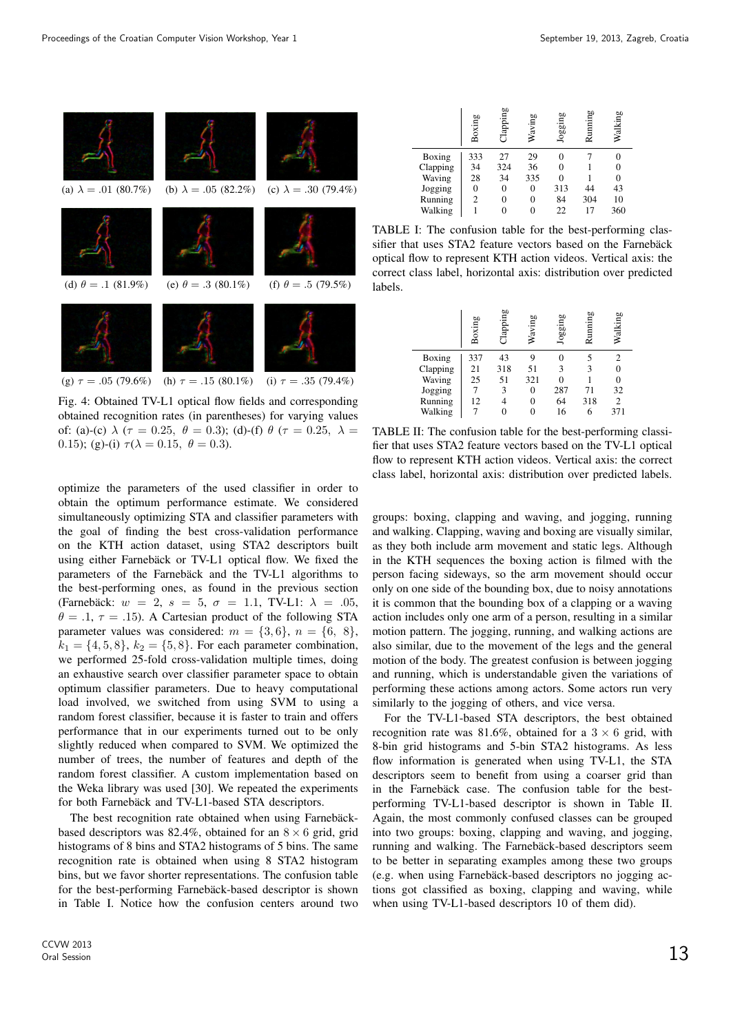

Fig. 4: Obtained TV-L1 optical flow fields and corresponding obtained recognition rates (in parentheses) for varying values of: (a)-(c)  $\lambda$  ( $\tau = 0.25$ ,  $\theta = 0.3$ ); (d)-(f)  $\theta$  ( $\tau = 0.25$ ,  $\lambda =$ 0.15); (g)-(i)  $\tau(\lambda = 0.15, \ \theta = 0.3)$ .

optimize the parameters of the used classifier in order to obtain the optimum performance estimate. We considered simultaneously optimizing STA and classifier parameters with the goal of finding the best cross-validation performance on the KTH action dataset, using STA2 descriptors built using either Farnebäck or TV-L1 optical flow. We fixed the parameters of the Farnebäck and the TV-L1 algorithms to the best-performing ones, as found in the previous section (Farnebäck:  $w = 2$ ,  $s = 5$ ,  $\sigma = 1.1$ , TV-L1:  $\lambda = .05$ ,  $\theta = .1, \tau = .15$ . A Cartesian product of the following STA parameter values was considered:  $m = \{3, 6\}, n = \{6, 8\},\$  $k_1 = \{4, 5, 8\}, k_2 = \{5, 8\}.$  For each parameter combination, we performed 25-fold cross-validation multiple times, doing an exhaustive search over classifier parameter space to obtain optimum classifier parameters. Due to heavy computational load involved, we switched from using SVM to using a random forest classifier, because it is faster to train and offers performance that in our experiments turned out to be only slightly reduced when compared to SVM. We optimized the number of trees, the number of features and depth of the random forest classifier. A custom implementation based on the Weka library was used [30]. We repeated the experiments for both Farnebäck and TV-L1-based STA descriptors.

The best recognition rate obtained when using Farnebäckbased descriptors was 82.4%, obtained for an  $8 \times 6$  grid, grid histograms of 8 bins and STA2 histograms of 5 bins. The same recognition rate is obtained when using 8 STA2 histogram bins, but we favor shorter representations. The confusion table for the best-performing Farnebäck-based descriptor is shown in Table I. Notice how the confusion centers around two

|          | Boxing | <b>Clapping</b> | Waving | Jogging  | Running | Walking |
|----------|--------|-----------------|--------|----------|---------|---------|
| Boxing   | 333    | 27              | 29     | 0        |         |         |
| Clapping | 34     | 324             | 36     | $\Omega$ |         | 0       |
| Waving   | 28     | 34              | 335    | $\Omega$ |         | 0       |
| Jogging  | 0      | 0               | 0      | 313      | 44      | 43      |
| Running  | 2      |                 | 0      | 84       | 304     | 10      |
| Walking  |        |                 |        | 22       | 17      | 360     |

TABLE I: The confusion table for the best-performing classifier that uses STA2 feature vectors based on the Farnebäck optical flow to represent KTH action videos. Vertical axis: the correct class label, horizontal axis: distribution over predicted labels.

|          | Boxing | Clapping | Waving | Jogging  | Running | Walking        |
|----------|--------|----------|--------|----------|---------|----------------|
| Boxing   | 337    | 43       | q      |          |         | 2              |
| Clapping | 21     | 318      | 51     | 3        | 3       | $\theta$       |
| Waving   | 25     | 51       | 321    | $\Omega$ |         | $\Omega$       |
| Jogging  |        | 3        | 0      | 287      | 71      | 32             |
| Running  | 12     |          | 0      | 64       | 318     | $\overline{c}$ |
| Walking  |        |          | 0      | 16       | 6       | 371            |

TABLE II: The confusion table for the best-performing classifier that uses STA2 feature vectors based on the TV-L1 optical flow to represent KTH action videos. Vertical axis: the correct class label, horizontal axis: distribution over predicted labels.

groups: boxing, clapping and waving, and jogging, running and walking. Clapping, waving and boxing are visually similar, as they both include arm movement and static legs. Although in the KTH sequences the boxing action is filmed with the person facing sideways, so the arm movement should occur only on one side of the bounding box, due to noisy annotations it is common that the bounding box of a clapping or a waving action includes only one arm of a person, resulting in a similar motion pattern. The jogging, running, and walking actions are also similar, due to the movement of the legs and the general motion of the body. The greatest confusion is between jogging and running, which is understandable given the variations of performing these actions among actors. Some actors run very similarly to the jogging of others, and vice versa.

For the TV-L1-based STA descriptors, the best obtained recognition rate was 81.6%, obtained for a  $3 \times 6$  grid, with 8-bin grid histograms and 5-bin STA2 histograms. As less flow information is generated when using TV-L1, the STA descriptors seem to benefit from using a coarser grid than in the Farnebäck case. The confusion table for the bestperforming TV-L1-based descriptor is shown in Table II. Again, the most commonly confused classes can be grouped into two groups: boxing, clapping and waving, and jogging, running and walking. The Farnebäck-based descriptors seem to be better in separating examples among these two groups (e.g. when using Farnebäck-based descriptors no jogging actions got classified as boxing, clapping and waving, while when using TV-L1-based descriptors 10 of them did).